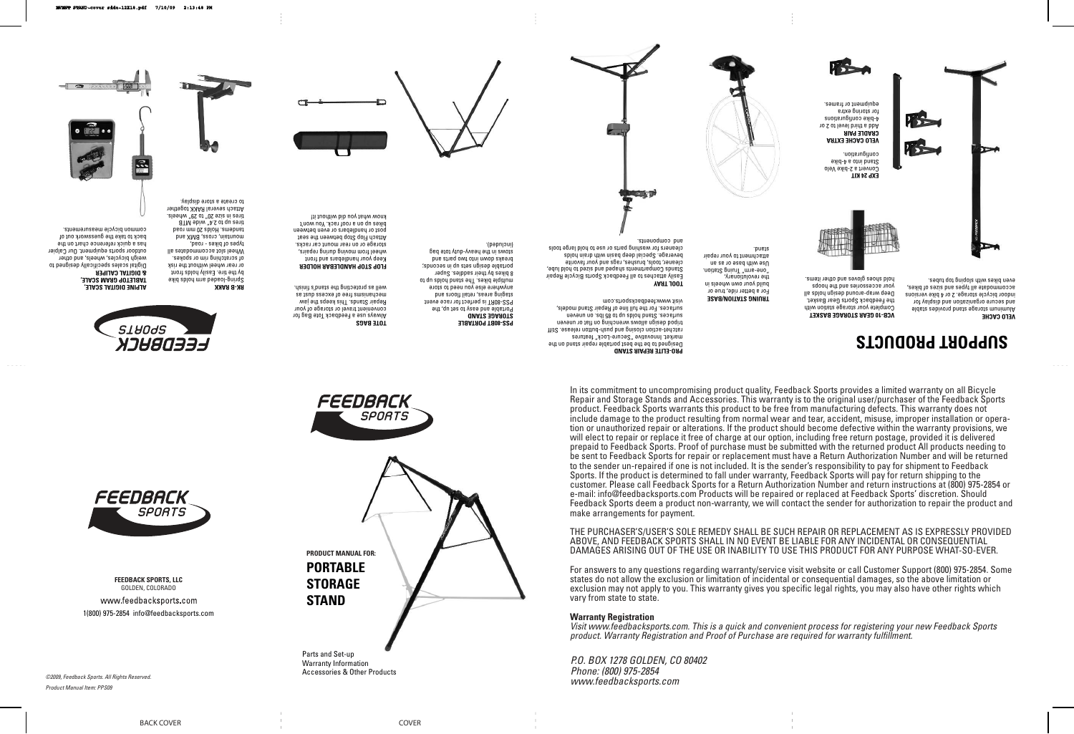**FEEDBACK SPORTS, LLC** GOLDEN, COLORADO

www.feedbacksports.com 1(800) 975-2854 info@feedbacksports.com

In its commitment to uncompromising product quality, Feedback Sports provides a limited warranty on all Bicycle Repair and Storage Stands and Accessories. This warranty is to the original user/purchaser of the Feedback Sports product. Feedback Sports warrants this product to be free from manufacturing defects. This warranty does not include damage to the product resulting from normal wear and tear, accident, misuse, improper installation or operation or unauthorized repair or alterations. If the product should become defective within the warranty provisions, we will elect to repair or replace it free of charge at our option, including free return postage, provided it is delivered prepaid to Feedback Sports. Proof of purchase must be submitted with the returned product All products needing to be sent to Feedback Sports for repair or replacement must have a Return Authorization Number and will be returned to the sender un-repaired if one is not included. It is the sender's responsibility to pay for shipment to Feedback Sports. If the product is determined to fall under warranty, Feedback Sports will pay for return shipping to the customer. Please call Feedback Sports for a Return Authorization Number and return instructions at (800) 975-2854 or e-mail: info@feedbacksports.com Products will be repaired or replaced at Feedback Sports' discretion. Should Feedback Sports deem a product non-warranty, we will contact the sender for authorization to repair the product and make arrangements for payment.





**VELO CACHE EXTRA CRADLE PAIR** Add a third level to 2 or 4-bike configurations for storing extra ednibment or frames.

THE PURCHASER'S/USER'S SOLE REMEDY SHALL BE SUCH REPAIR OR REPLACEMENT AS IS EXPRESSLY PROVIDED ABOVE, AND FEEDBACK SPORTS SHALL IN NO EVENT BE LIABLE FOR ANY INCIDENTAL OR CONSEQUENTIAL DAMAGES ARISING OUT OF THE USE OR INABILITY TO USE THIS PRODUCT FOR ANY PURPOSE WHAT-SO-EVER.

For answers to any questions regarding warranty/service visit website or call Customer Support (800) 975-2854. Some states do not allow the exclusion or limitation of incidental or consequential damages, so the above limitation or exclusion may not apply to you. This warranty gives you specific legal rights, you may also have other rights which vary from state to state.

Portable and easy to set up, the PSS-80RT is perfect for race event staging areas, retail floors and a jois of naall not asia a jaun Aug multiple bikes. The stand holds up to 8 bikes by their saddles. Super portable design sets up in seconds; breaks down into two parts and stows in the peak of the page page page

#### **Warranty Registration**

Visit www.feedbacksports.com. This is a quick and convenient process for registering your new Feedback Sports product. Warranty Registration and Proof of Purchase are required for warranty fulfillment.

P.O. BOX 1278 GOLDEN, CO 80402 Phone: (800) 975-2854



Product Manual Item: PPS09

**VCB-10 GEAR STORAGE BASKET** Complete your storage station with the Feedback Sports Gear Basket. Deep wrap-around design holds all your accessories and the hoops hold shoes gloves and other items.

**TRUING STATION/BASE** For a better ride, true or build your own wheels in the revolutionary, "one-arm" Truing Station. Use with base or as an attachment to your repair stand.

**EXP 24 KIT**

Convert a 2-bike Velo Stand into a 4-bike configuration.





**VELO CACHE** Aluminum storage stand provides stable and secure organization and display for indoor bicycle storage. 2 or 4 bike versions accommodate all types and sizes of bikes, even bikes with sloping top tubes.

**PRO-ELITE REPAIR STAND** Designed to be the best portable repair stand on the market. Innovative "Secure-Lock" features ratchet-action closing and push-button release. Stiff tripod design allows wrenching on flat or uneven surfaces. Stand holds by the 85 lbs. on uneven surfaces. For the full line of Repair Stand models,

# visit www.feedbacksports.com

**TOOL TRAY** Easily attaches to all Feedback Sports Bicycle Repair stands compared to participate the compart of the search to the search to the search to search to the duty of cleaner, tools, brushes, rags and your favorite beverage. Special deep basin with drain holds cleaners for washing parts or use to hold large tools



**TOTE BAGS**

Always use a Feedback Tote Bag for convenient travel or storage of your Repair Stands. This keeps the jaw se isno ssapxa to aalt suisideupau well as protecting the stand's finish.

**FLOP STOP HANDLEBAR HOLDER** Keep your handlebars and front wheel from moving during repairs, storage or on rear mount car racks. Attach Flop Stop between the seat post or handlebars or even between bikes up on a roof rack. You won't know what you did without it!









**PSS-80BT PORTABLE STORAGE STAND**

(included).

**ALPINE DIGITAL SCALE, TABLETOP GRAM SCALE, & DIGITAL CALIPER** Digital scales specifically designed to weigh bicycles, wheels, and other outdoor sports equipment. Our Calpier has a quick reference chart on the back to take the guesswork out of common bicycle measurements.



**RK-B RAKK** Spring-loaded arm holds bike by the tire. Easily holds front or rear wheel without the risk of scratching rim or spokes. Wheel slot accommodates all types of bikes - road, mountain, cross, BMX and a bso1 mm 0S zbloH . amebnat tires up to 2.4" wide MTB tires in size 20" to 29" wheels. Attach several RAKK together to create a store display.

# **SUPPORT PRODUCTS**